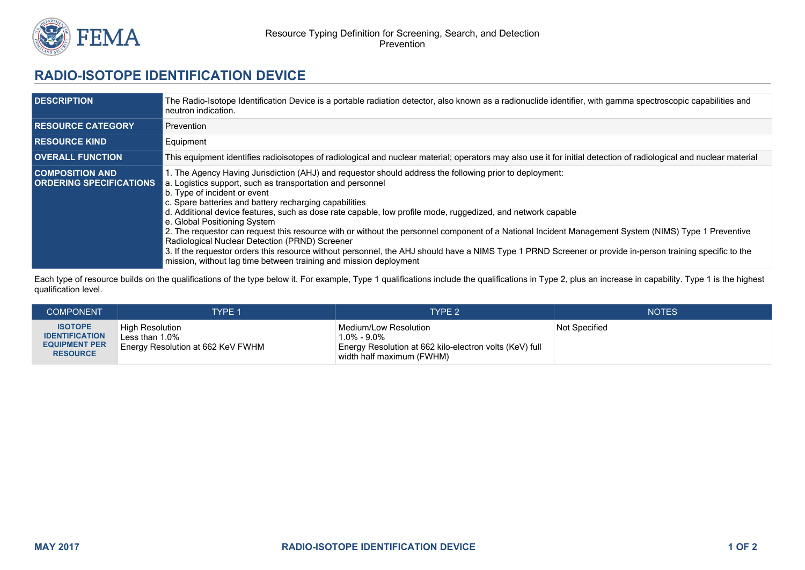

## **RADIO-ISOTOPE IDENTIFICATION DEVICE**

| <b>DESCRIPTION</b>                                       | The Radio-Isotope Identification Device is a portable radiation detector, also known as a radionuclide identifier, with gamma spectroscopic capabilities and<br>neutron indication.                                                                                                                                                                                                                                                                                                                                                                                                                                                                                                                                                                                                                                                                        |  |  |
|----------------------------------------------------------|------------------------------------------------------------------------------------------------------------------------------------------------------------------------------------------------------------------------------------------------------------------------------------------------------------------------------------------------------------------------------------------------------------------------------------------------------------------------------------------------------------------------------------------------------------------------------------------------------------------------------------------------------------------------------------------------------------------------------------------------------------------------------------------------------------------------------------------------------------|--|--|
| <b>RESOURCE CATEGORY</b>                                 | Prevention                                                                                                                                                                                                                                                                                                                                                                                                                                                                                                                                                                                                                                                                                                                                                                                                                                                 |  |  |
| <b>RESOURCE KIND</b>                                     | Equipment                                                                                                                                                                                                                                                                                                                                                                                                                                                                                                                                                                                                                                                                                                                                                                                                                                                  |  |  |
| <b>OVERALL FUNCTION</b>                                  | This equipment identifies radioisotopes of radiological and nuclear material; operators may also use it for initial detection of radiological and nuclear material                                                                                                                                                                                                                                                                                                                                                                                                                                                                                                                                                                                                                                                                                         |  |  |
| <b>COMPOSITION AND</b><br><b>ORDERING SPECIFICATIONS</b> | 1. The Agency Having Jurisdiction (AHJ) and requestor should address the following prior to deployment:<br>a. Logistics support, such as transportation and personnel<br>b. Type of incident or event<br>c. Spare batteries and battery recharging capabilities<br>d. Additional device features, such as dose rate capable, low profile mode, ruggedized, and network capable<br>e. Global Positioning System<br>2. The requestor can request this resource with or without the personnel component of a National Incident Management System (NIMS) Type 1 Preventive<br>Radiological Nuclear Detection (PRND) Screener<br>3. If the requestor orders this resource without personnel, the AHJ should have a NIMS Type 1 PRND Screener or provide in-person training specific to the<br>mission, without lag time between training and mission deployment |  |  |

Each type of resource builds on the qualifications of the type below it. For example, Type 1 qualifications include the qualifications in Type 2, plus an increase in capability. Type 1 is the highest qualification level.

| <b>COMPONENT</b>                                                                   | <b>TYPE 1</b>                                                             | TYPE <sub>2</sub>                                                                                                             | <b>NOTES</b>  |
|------------------------------------------------------------------------------------|---------------------------------------------------------------------------|-------------------------------------------------------------------------------------------------------------------------------|---------------|
| <b>ISOTOPE</b><br><b>IDENTIFICATION</b><br><b>EQUIPMENT PER</b><br><b>RESOURCE</b> | High Resolution<br>Less than $1.0\%$<br>Energy Resolution at 662 KeV FWHM | ∣Medium/Low Resolution<br>1.0% - 9.0%<br>Energy Resolution at 662 kilo-electron volts (KeV) full<br>width half maximum (FWHM) | Not Specified |